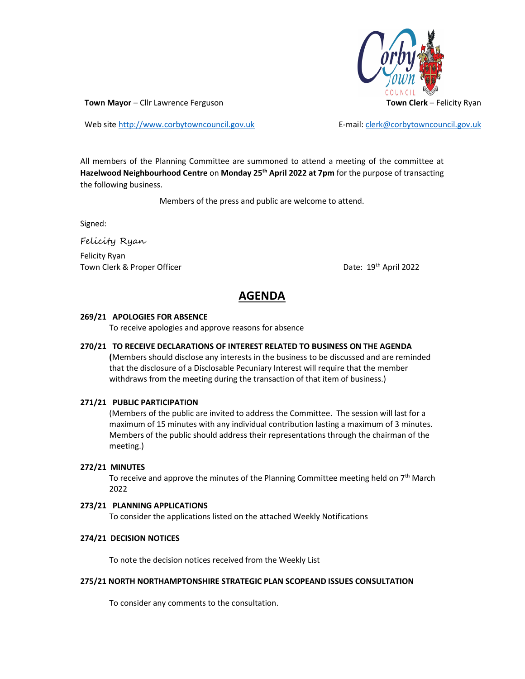

Web site http://www.corbytowncouncil.gov.uk E-mail: clerk@corbytowncouncil.gov.uk

All members of the Planning Committee are summoned to attend a meeting of the committee at Hazelwood Neighbourhood Centre on Monday 25<sup>th</sup> April 2022 at 7pm for the purpose of transacting the following business.

Members of the press and public are welcome to attend.

Signed:

Felicity Ryan Felicity Ryan Town Clerk & Proper Officer **Date: 19th April 2022** 

# AGENDA

#### 269/21 APOLOGIES FOR ABSENCE

To receive apologies and approve reasons for absence

## 270/21 TO RECEIVE DECLARATIONS OF INTEREST RELATED TO BUSINESS ON THE AGENDA

(Members should disclose any interests in the business to be discussed and are reminded that the disclosure of a Disclosable Pecuniary Interest will require that the member withdraws from the meeting during the transaction of that item of business.)

#### 271/21 PUBLIC PARTICIPATION

(Members of the public are invited to address the Committee. The session will last for a maximum of 15 minutes with any individual contribution lasting a maximum of 3 minutes. Members of the public should address their representations through the chairman of the meeting.)

#### 272/21 MINUTES

To receive and approve the minutes of the Planning Committee meeting held on  $7<sup>th</sup>$  March 2022

## 273/21 PLANNING APPLICATIONS

To consider the applications listed on the attached Weekly Notifications

#### 274/21 DECISION NOTICES

To note the decision notices received from the Weekly List

#### 275/21 NORTH NORTHAMPTONSHIRE STRATEGIC PLAN SCOPEAND ISSUES CONSULTATION

To consider any comments to the consultation.